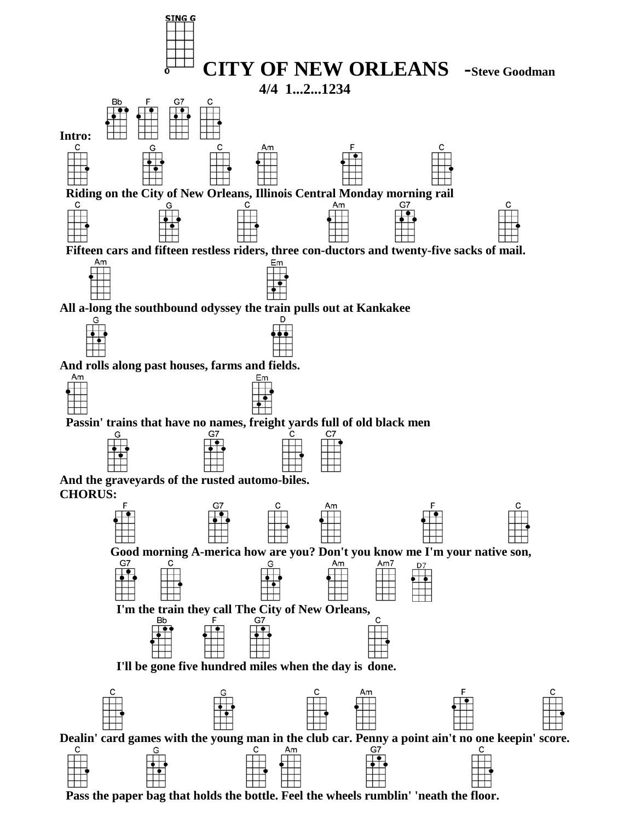

 **Pass the paper bag that holds the bottle. Feel the wheels rumblin' 'neath the floor.**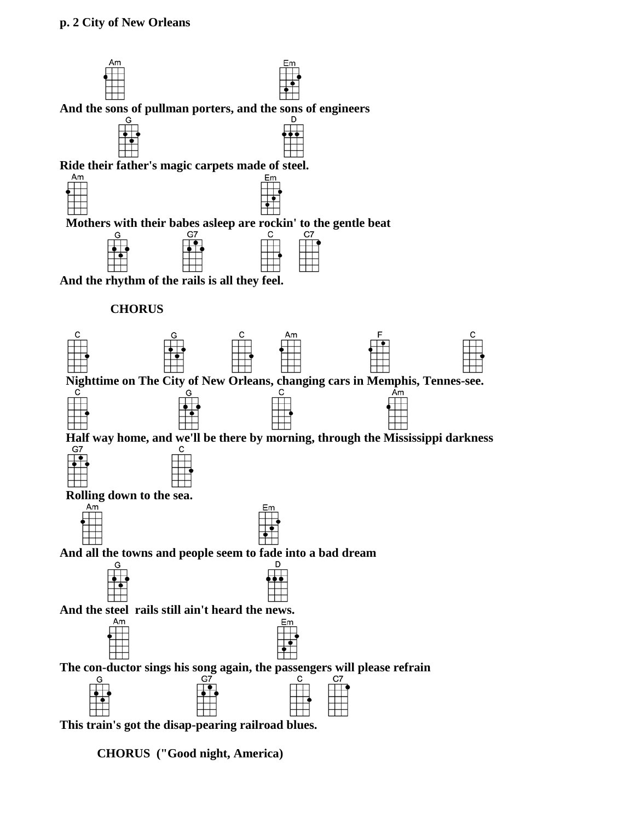

**CHORUS ("Good night, America)**